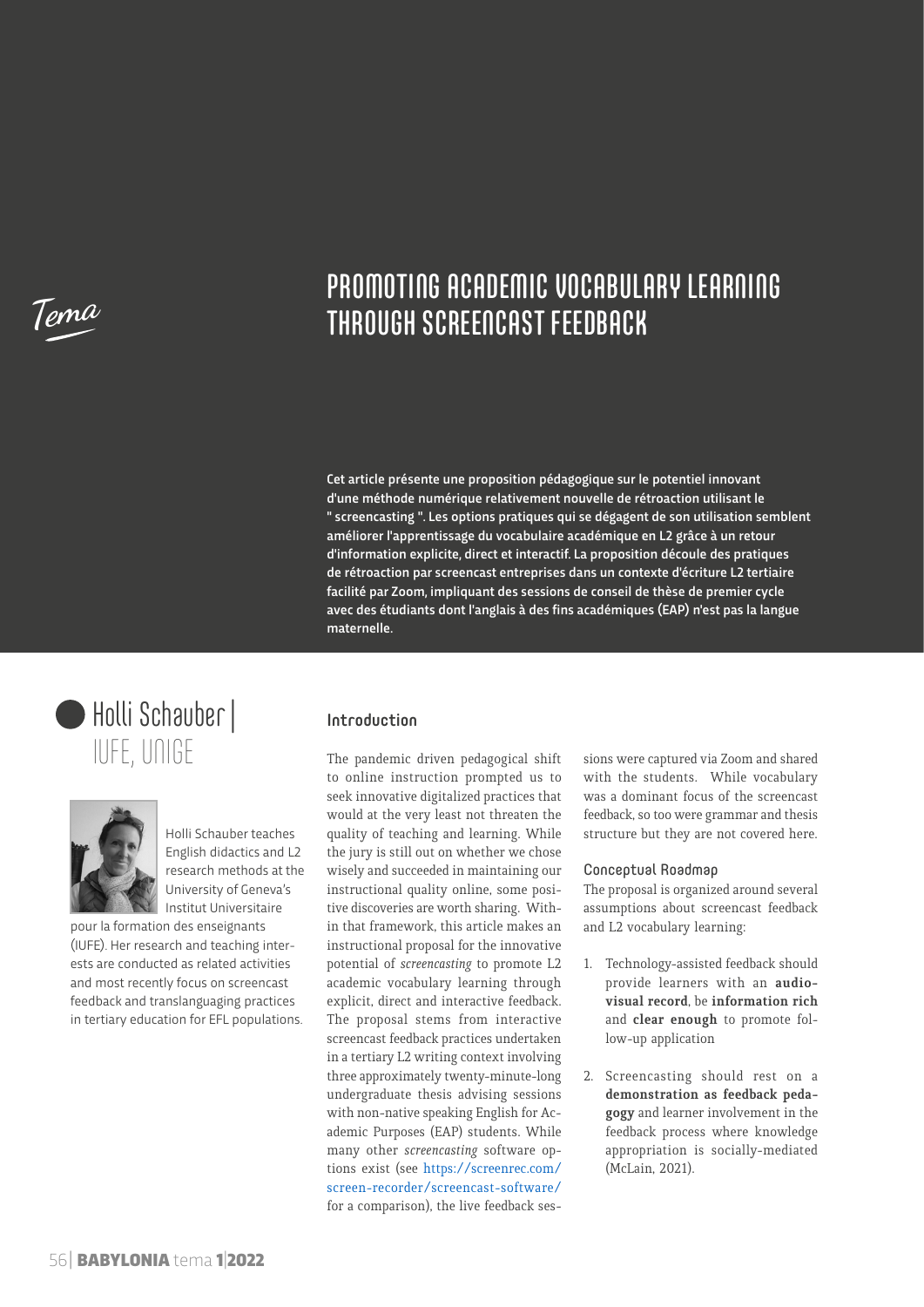**Tema**

# PROMOTING ACADEMIC VOCABULARY LEARNING THROUGH SCREENCAST FEEDBACK

Cet article présente une proposition pédagogique sur le potentiel innovant d'une méthode numérique relativement nouvelle de rétroaction utilisant le " screencasting ". Les options pratiques qui se dégagent de son utilisation semblent améliorer l'apprentissage du vocabulaire académique en L2 grâce à un retour d'information explicite, direct et interactif. La proposition découle des pratiques de rétroaction par screencast entreprises dans un contexte d'écriture L2 tertiaire facilité par Zoom, impliquant des sessions de conseil de thèse de premier cycle avec des étudiants dont l'anglais à des fins académiques (EAP) n'est pas la langue maternelle.





Holli Schauber teaches English didactics and L2 research methods at the University of Geneva's Institut Universitaire

pour la formation des enseignants (IUFE). Her research and teaching interests are conducted as related activities and most recently focus on screencast feedback and translanguaging practices in tertiary education for EFL populations.

### Introduction

The pandemic driven pedagogical shift to online instruction prompted us to seek innovative digitalized practices that would at the very least not threaten the quality of teaching and learning. While the jury is still out on whether we chose wisely and succeeded in maintaining our instructional quality online, some positive discoveries are worth sharing. Within that framework, this article makes an instructional proposal for the innovative potential of *screencasting* to promote L2 academic vocabulary learning through explicit, direct and interactive feedback. The proposal stems from interactive screencast feedback practices undertaken in a tertiary L2 writing context involving three approximately twenty-minute-long undergraduate thesis advising sessions with non-native speaking English for Academic Purposes (EAP) students. While many other *screencasting* software options exist (see [https://screenrec.com/](https://screenrec.com/screen-recorder/screencast-software/) [screen-recorder/screencast-software/](https://screenrec.com/screen-recorder/screencast-software/) for a comparison), the live feedback ses-

sions were captured via Zoom and shared with the students. While vocabulary was a dominant focus of the screencast feedback, so too were grammar and thesis structure but they are not covered here.

#### Conceptual Roadmap

The proposal is organized around several assumptions about screencast feedback and L2 vocabulary learning:

- 1. Technology-assisted feedback should provide learners with an **audiovisual record**, be **information rich** and **clear enough** to promote follow-up application
- 2. Screencasting should rest on a **demonstration as feedback pedagogy** and learner involvement in the feedback process where knowledge appropriation is socially-mediated (McLain, 2021).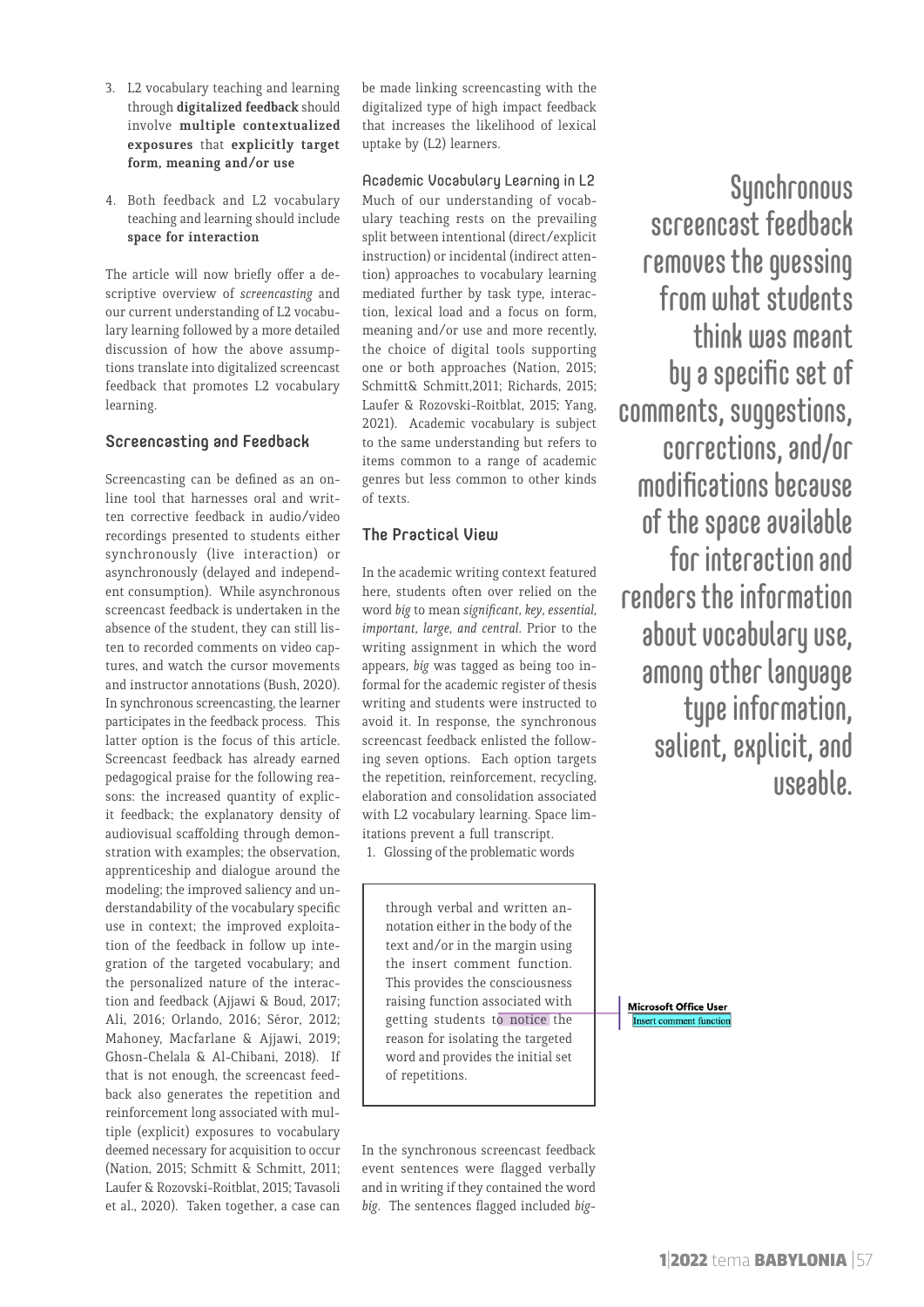- 3. L2 vocabulary teaching and learning through **digitalized feedback** should involve **multiple contextualized exposures** that **explicitly target form, meaning and/or use**
- 4. Both feedback and L2 vocabulary teaching and learning should include **space for interaction**

The article will now briefly offer a descriptive overview of *screencasting* and our current understanding of L2 vocabulary learning followed by a more detailed discussion of how the above assumptions translate into digitalized screencast feedback that promotes L2 vocabulary learning.

### Screencasting and Feedback

Screencasting can be defined as an online tool that harnesses oral and written corrective feedback in audio/video recordings presented to students either synchronously (live interaction) or asynchronously (delayed and independent consumption). While asynchronous screencast feedback is undertaken in the absence of the student, they can still listen to recorded comments on video captures, and watch the cursor movements and instructor annotations (Bush, 2020). In synchronous screencasting, the learner participates in the feedback process. This latter option is the focus of this article. Screencast feedback has already earned pedagogical praise for the following reasons: the increased quantity of explicit feedback; the explanatory density of audiovisual scaffolding through demonstration with examples; the observation, apprenticeship and dialogue around the modeling; the improved saliency and understandability of the vocabulary specific use in context; the improved exploitation of the feedback in follow up integration of the targeted vocabulary; and the personalized nature of the interaction and feedback (Ajjawi & Boud, 2017; Ali, 2016; Orlando, 2016; Séror, 2012; Mahoney, Macfarlane & Ajjawi, 2019; Ghosn-Chelala & Al-Chibani, 2018). If that is not enough, the screencast feedback also generates the repetition and reinforcement long associated with multiple (explicit) exposures to vocabulary deemed necessary for acquisition to occur (Nation, 2015; Schmitt & Schmitt, 2011; Laufer & Rozovski-Roitblat, 2015; Tavasoli et al., 2020). Taken together, a case can

be made linking screencasting with the digitalized type of high impact feedback that increases the likelihood of lexical uptake by (L2) learners.

Academic Vocabulary Learning in L2 Much of our understanding of vocabulary teaching rests on the prevailing split between intentional (direct/explicit instruction) or incidental (indirect attention) approaches to vocabulary learning mediated further by task type, interaction, lexical load and a focus on form, meaning and/or use and more recently, the choice of digital tools supporting one or both approaches (Nation, 2015; Schmitt& Schmitt,2011; Richards, 2015; Laufer & Rozovski-Roitblat, 2015; Yang, 2021). Academic vocabulary is subject to the same understanding but refers to items common to a range of academic genres but less common to other kinds of texts.

## The Practical View

In the academic writing context featured here, students often over relied on the word *big* to mean *significant, key, essential, important, large, and central*. Prior to the writing assignment in which the word appears, *big* was tagged as being too informal for the academic register of thesis writing and students were instructed to avoid it. In response, the synchronous screencast feedback enlisted the following seven options. Each option targets the repetition, reinforcement, recycling, elaboration and consolidation associated with L2 vocabulary learning. Space limitations prevent a full transcript.

1. Glossing of the problematic words

through verbal and written annotation either in the body of the text and/or in the margin using the insert comment function. This provides the consciousness raising function associated with getting students to notice the reason for isolating the targeted word and provides the initial set of repetitions.

In the synchronous screencast feedback event sentences were flagged verbally and in writing if they contained the word *big*. The sentences flagged included *big-*

Synchronous screencast feedback removes the guessing from what students think was meant by a specific set of comments, suggestions, corrections, and/or modifications because of the space available for interaction and renders the information about vocabulary use, among other language type information, salient, explicit, and useable.

**Microsoft Office User Insert comment function**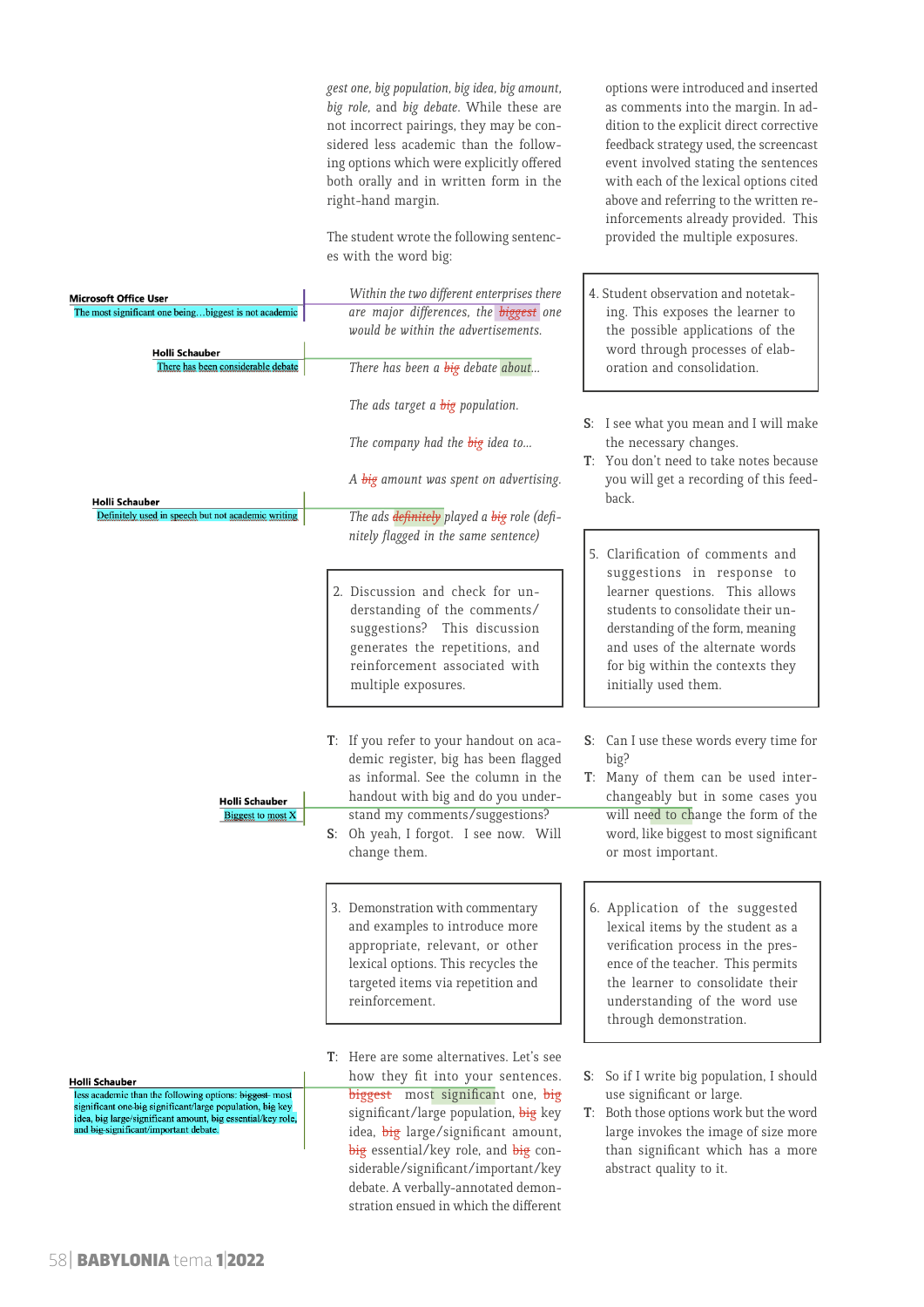*gest one, big population, big idea, big amount, big role,* and *big debate*. While these are not incorrect pairings, they may be con sidered less academic than the follow ing options which were explicitly offered both orally and in written form in the right-hand margin.

The student wrote the following sentenc es with the word big:

 $\overline{1}$ 

options were introduced and inserted as comments into the margin. In ad dition to the explicit direct corrective feedback strategy used, the screencast event involved stating the sentences with each of the lexical options cited above and referring to the written re inforcements already provided. This provided the multiple exposures.

Ī

| Microsoft Office User                                                                                                                                                                                                                         | Within the two different enterprises there                                                                                                                                                                                                                                        | 4. Student observation and notetak-                                                                                                                                                                                                                                      |
|-----------------------------------------------------------------------------------------------------------------------------------------------------------------------------------------------------------------------------------------------|-----------------------------------------------------------------------------------------------------------------------------------------------------------------------------------------------------------------------------------------------------------------------------------|--------------------------------------------------------------------------------------------------------------------------------------------------------------------------------------------------------------------------------------------------------------------------|
| The most significant one beingbiggest is not academic<br>Holli Schauber<br>There has been considerable debate                                                                                                                                 | are major differences, the biggest one<br>would be within the advertisements.<br>There has been a big debate about                                                                                                                                                                | ing. This exposes the learner to<br>the possible applications of the<br>word through processes of elab-<br>oration and consolidation.                                                                                                                                    |
| Holli Schauber<br>Definitely used in speech but not academic writing                                                                                                                                                                          | The ads target a <b>big</b> population.<br>The company had the big idea to<br>A big amount was spent on advertising.<br>The ads definitely played a big role (defi-                                                                                                               | S: I see what you mean and I will make<br>the necessary changes.<br>T: You don't need to take notes because<br>you will get a recording of this feed-<br>back.                                                                                                           |
|                                                                                                                                                                                                                                               | nitely flagged in the same sentence)<br>2. Discussion and check for un-<br>derstanding of the comments/<br>suggestions? This discussion<br>generates the repetitions, and<br>reinforcement associated with<br>multiple exposures.                                                 | 5. Clarification of comments and<br>suggestions in response to<br>learner questions. This allows<br>students to consolidate their un-<br>derstanding of the form, meaning<br>and uses of the alternate words<br>for big within the contexts they<br>initially used them. |
| Holli Schauber<br>Biggest to most X                                                                                                                                                                                                           | T: If you refer to your handout on aca-<br>demic register, big has been flagged<br>as informal. See the column in the<br>handout with big and do you under-<br>stand my comments/suggestions?<br>S: Oh yeah, I forgot. I see now. Will<br>change them.                            | S: Can I use these words every time for<br>big?<br>T: Many of them can be used inter-<br>changeably but in some cases you<br>will need to change the form of the<br>word, like biggest to most significant<br>or most important.                                         |
|                                                                                                                                                                                                                                               | 3. Demonstration with commentary<br>and examples to introduce more<br>appropriate, relevant, or other<br>lexical options. This recycles the<br>targeted items via repetition and<br>reinforcement.                                                                                | 6. Application of the suggested<br>lexical items by the student as a<br>verification process in the pres-<br>ence of the teacher. This permits<br>the learner to consolidate their<br>understanding of the word use<br>through demonstration.                            |
| Holli Schauber<br>less academic than the following options: biggest-most<br>significant one big significant/large population, big key<br>idea, big large/significant amount, big essential/key role,<br>and big-significant/important debate. | T: Here are some alternatives. Let's see<br>how they fit into your sentences.<br>biggest most significant one, big<br>significant/large population, big key<br>idea, big large/significant amount,<br>big essential/key role, and big con-<br>siderable/significant/important/key | S: So if I write big population, I should<br>use significant or large.<br>T: Both those options work but the word<br>large invokes the image of size more<br>than significant which has a more<br>abstract quality to it.                                                |

debate. A verbally-annotated demon stration ensued in which the different